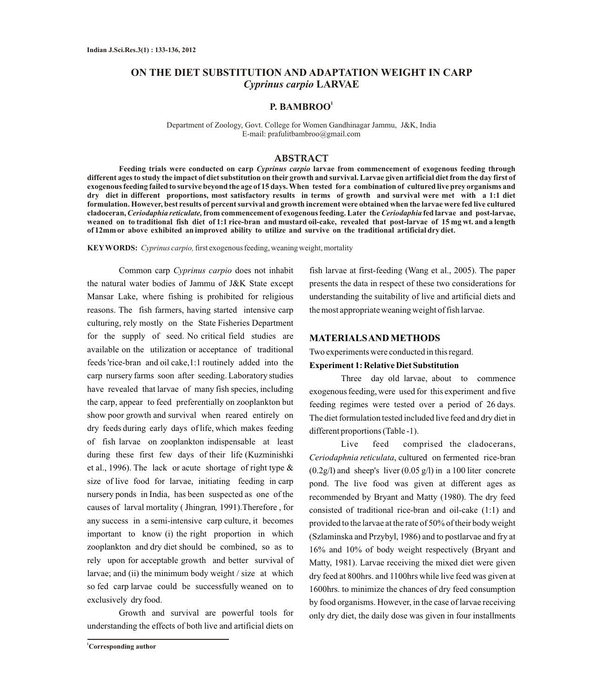# **ON THE DIET SUBSTITUTION AND ADAPTATION WEIGHT IN CARP** *Cyprinus carpio* **LARVAE**

# **1 P. BAMBROO**

Department of Zoology, Govt. College for Women Gandhinagar Jammu, J&K, India E-mail: prafulitbambroo@gmail.com

## **ABSTRACT**

**Feeding trials were conducted on carp** *Cyprinus carpio* **larvae from commencement of exogenous feeding through different ages to study the impact of diet substitution on their growth and survival. Larvae given artificial diet from the day first of exogenous feeding failed to survive beyond the age of 15 days. When tested for a combination of cultured live prey organisms and dry diet in different proportions, most satisfactory results in terms of growth and survival were met with a 1:1 diet formulation. However, best results of percent survival and growth increment were obtained when the larvae were fed live cultured cladoceran,** *Ceriodaphia reticulate,***from commencement of exogenous feeding. Later the** *Ceriodaphia* **fed larvae and post-larvae, weaned on to traditional fish diet of 1:1 rice-bran and mustard oil-cake, revealed that post-larvae of 15 mg wt. and a length of 12mm or above exhibited an improved ability to utilize and survive on the traditional artificial dry diet.**

**KEYWORDS:** *Cyprinus carpio,*first exogenous feeding, weaning weight, mortality

Common carp *Cyprinus carpio* does not inhabit the natural water bodies of Jammu of J&K State except Mansar Lake, where fishing is prohibited for religious reasons. The fish farmers, having started intensive carp culturing, rely mostly on the State Fisheries Department for the supply of seed. No critical field studies are available on the utilization or acceptance of traditional feeds 'rice-bran and oil cake,1:1 routinely added into the carp nursery farms soon after seeding. Laboratory studies have revealed that larvae of many fish species, including the carp, appear to feed preferentially on zooplankton but show poor growth and survival when reared entirely on dry feeds during early days of life, which makes feeding of fish larvae on zooplankton indispensable at least during these first few days of their life (Kuzminishki et al., 1996). The lack or acute shortage of right type  $\&$ size of live food for larvae, initiating feeding in carp nursery ponds in India, has been suspected as one of the causes of larval mortality ( Jhingran*,* 1991).Therefore , for any success in a semi-intensive carp culture, it becomes important to know (i) the right proportion in which zooplankton and dry diet should be combined, so as to rely upon for acceptable growth and better survival of larvae; and (ii) the minimum body weight / size at which so fed carp larvae could be successfully weaned on to exclusively dry food.

Growth and survival are powerful tools for understanding the effects of both live and artificial diets on

**<sup>1</sup>Corresponding author**

fish larvae at first-feeding (Wang et al., 2005). The paper presents the data in respect of these two considerations for understanding the suitability of live and artificial diets and the most appropriate weaning weight of fish larvae.

## **MATERIALS AND METHODS**

Two experiments were conducted in this regard.

#### **Experiment 1: Relative Diet Substitution**

Three day old larvae, about to commence exogenous feeding, were used for this experiment and five feeding regimes were tested over a period of 26 days. The diet formulation tested included live feed and dry diet in different proportions (Table -1).

Live feed comprised the cladocerans, *Ceriodaphnia reticulata*, cultured on fermented rice-bran  $(0.2g/l)$  and sheep's liver  $(0.05 g/l)$  in a 100 liter concrete pond. The live food was given at different ages as recommended by Bryant and Matty (1980). The dry feed consisted of traditional rice-bran and oil-cake (1:1) and provided to the larvae at the rate of 50% of their body weight (Szlaminska and Przybyl, 1986) and to postlarvae and fry at 16% and 10% of body weight respectively (Bryant and Matty, 1981). Larvae receiving the mixed diet were given dry feed at 800hrs. and 1100hrs while live feed was given at 1600hrs. to minimize the chances of dry feed consumption by food organisms. However, in the case of larvae receiving only dry diet, the daily dose was given in four installments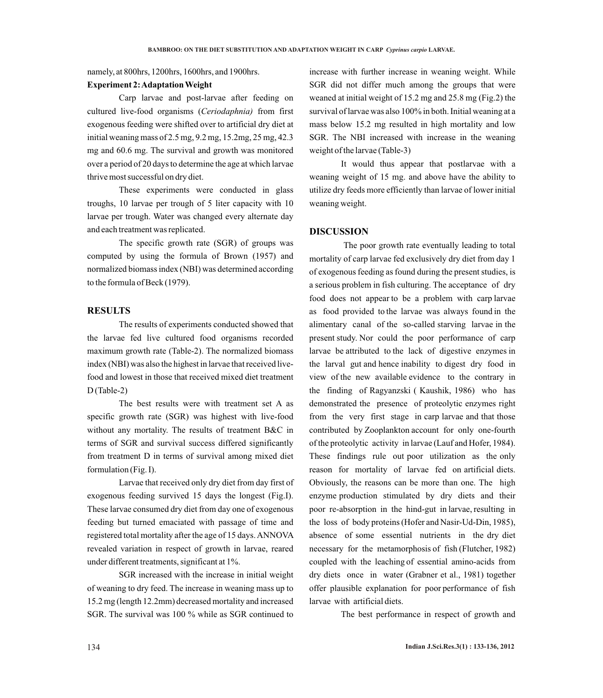namely, at 800hrs, 1200hrs, 1600hrs, and 1900hrs.

## **Experiment 2: Adaptation Weight**

Carp larvae and post-larvae after feeding on cultured live-food organisms (*Ceriodaphnia)* from first exogenous feeding were shifted over to artificial dry diet at initial weaning mass of 2.5 mg, 9.2 mg, 15.2mg, 25 mg, 42.3 mg and 60.6 mg. The survival and growth was monitored over a period of 20 days to determine the age at which larvae thrive most successful on dry diet.

These experiments were conducted in glass troughs, 10 larvae per trough of 5 liter capacity with 10 larvae per trough. Water was changed every alternate day and each treatment was replicated.

The specific growth rate (SGR) of groups was computed by using the formula of Brown (1957) and normalized biomass index (NBI) was determined according to the formula of Beck (1979).

## **RESULTS**

The results of experiments conducted showed that the larvae fed live cultured food organisms recorded maximum growth rate (Table-2). The normalized biomass index (NBI) was also the highest in larvae that received livefood and lowest in those that received mixed diet treatment D (Table-2)

The best results were with treatment set A as specific growth rate (SGR) was highest with live-food without any mortality. The results of treatment B&C in terms of SGR and survival success differed significantly from treatment D in terms of survival among mixed diet formulation (Fig. I).

Larvae that received only dry diet from day first of exogenous feeding survived 15 days the longest (Fig.I). These larvae consumed dry diet from day one of exogenous feeding but turned emaciated with passage of time and registered total mortality after the age of 15 days. ANNOVA revealed variation in respect of growth in larvae, reared under different treatments, significant at 1%.

SGR increased with the increase in initial weight of weaning to dry feed. The increase in weaning mass up to 15.2 mg (length 12.2mm) decreased mortality and increased SGR. The survival was 100 % while as SGR continued to

increase with further increase in weaning weight. While SGR did not differ much among the groups that were weaned at initial weight of 15.2 mg and 25.8 mg (Fig.2) the survival of larvae was also 100% in both. Initial weaning at a mass below 15.2 mg resulted in high mortality and low SGR. The NBI increased with increase in the weaning weight of the larvae (Table-3)

It would thus appear that postlarvae with a weaning weight of 15 mg. and above have the ability to utilize dry feeds more efficiently than larvae of lower initial weaning weight.

## **DISCUSSION**

The poor growth rate eventually leading to total mortality of carp larvae fed exclusively dry diet from day 1 of exogenous feeding as found during the present studies, is a serious problem in fish culturing. The acceptance of dry food does not appear to be a problem with carp larvae as food provided to the larvae was always found in the alimentary canal of the so-called starving larvae in the present study. Nor could the poor performance of carp larvae be attributed to the lack of digestive enzymes in the larval gut and hence inability to digest dry food in view of the new available evidence to the contrary in the finding of Ragyanzski ( Kaushik, 1986) who has demonstrated the presence of proteolytic enzymes right from the very first stage in carp larvae and that those contributed by Zooplankton account for only one-fourth of the proteolytic activity in larvae (Lauf and Hofer, 1984). These findings rule out poor utilization as the only reason for mortality of larvae fed on artificial diets. Obviously, the reasons can be more than one. The high enzyme production stimulated by dry diets and their poor re-absorption in the hind-gut in larvae, resulting in the loss of body proteins (Hofer and Nasir-Ud-Din, 1985), absence of some essential nutrients in the dry diet necessary for the metamorphosis of fish (Flutcher, 1982) coupled with the leaching of essential amino-acids from dry diets once in water (Grabner et al., 1981) together offer plausible explanation for poor performance of fish larvae with artificial diets.

The best performance in respect of growth and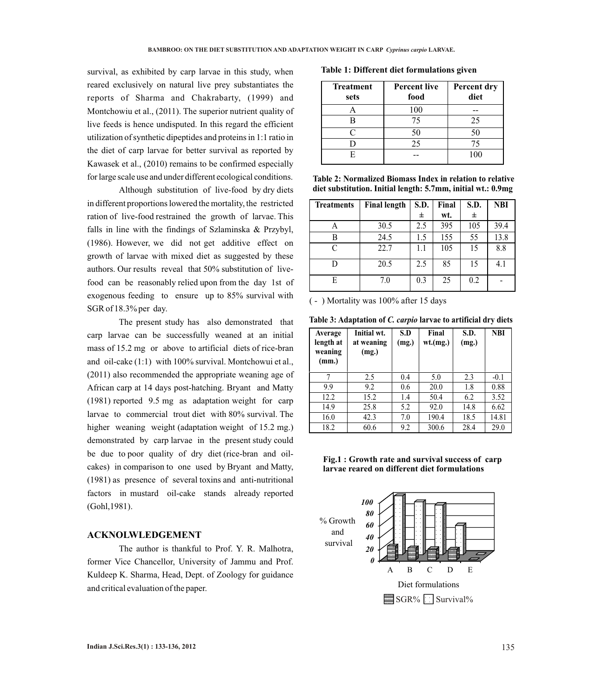survival, as exhibited by carp larvae in this study, when reared exclusively on natural live prey substantiates the reports of Sharma and Chakrabarty, (1999) and Montchowiu et al., (2011). The superior nutrient quality of live feeds is hence undisputed. In this regard the efficient utilization of synthetic dipeptides and proteins in 1:1 ratio in the diet of carp larvae for better survival as reported by Kawasek et al., (2010) remains to be confirmed especially for large scale use and under different ecological conditions.

Although substitution of live-food by dry diets in different proportions lowered the mortality, the restricted ration of live-food restrained the growth of larvae. This falls in line with the findings of Szlaminska & Przybyl, (1986). However, we did not get additive effect on growth of larvae with mixed diet as suggested by these authors. Our results reveal that 50% substitution of livefood can be reasonably relied upon from the day 1st of exogenous feeding to ensure up to 85% survival with SGR of 18.3% per day.

The present study has also demonstrated that carp larvae can be successfully weaned at an initial mass of 15.2 mg or above to artificial diets of rice-bran and oil-cake (1:1) with 100% survival. Montchowui et al., (2011) also recommended the appropriate weaning age of African carp at 14 days post-hatching. Bryant and Matty (1981) reported 9.5 mg as adaptation weight for carp larvae to commercial trout diet with 80% survival. The higher weaning weight (adaptation weight of 15.2 mg.) demonstrated by carp larvae in the present study could be due to poor quality of dry diet (rice-bran and oilcakes) in comparison to one used by Bryant and Matty, (1981) as presence of several toxins and anti-nutritional factors in mustard oil-cake stands already reported (Gohl,1981).

#### **ACKNOLWLEDGEMENT**

The author is thankful to Prof. Y. R. Malhotra, former Vice Chancellor, University of Jammu and Prof. Kuldeep K. Sharma, Head, Dept. of Zoology for guidance and critical evaluation of the paper.

**Table 1: Different diet formulations given**

| <b>Treatment</b><br>sets | <b>Percent live</b><br>food | Percent dry<br>diet |
|--------------------------|-----------------------------|---------------------|
|                          | 100                         |                     |
|                          | 75                          | 25                  |
| $\subset$                | 50                          | 50                  |
|                          | 25                          | 75                  |
|                          |                             | 100                 |

**Table 2: Normalized Biomass Index in relation to relative diet substitution. Initial length: 5.7mm, initial wt.: 0.9mg**

| <b>Treatments</b> | <b>Final length</b> | S.D. | Final | S.D. | <b>NBI</b> |
|-------------------|---------------------|------|-------|------|------------|
|                   |                     | 士    | wt.   | 士    |            |
| А                 | 30.5                | 2.5  | 395   | 105  | 39.4       |
| В                 | 24.5                | 1.5  | 155   | 55   | 13.8       |
| C                 | 22.7                | 1.1  | 105   | 15   | 8.8        |
|                   | 20.5                | 2.5  | 85    | 15   | 4.1        |
| E                 | 7.0                 | 0.3  | 25    | 0.2  |            |

( - ) Mortality was 100% after 15 days

**Table 3: Adaptation of** *C. carpio* **larvae to artificial dry diets**

| Average<br>length at<br>weaning<br>(mm.) | Initial wt.<br>at weaning<br>(mg.) | S.D<br>(mg.) | Final<br>wt(mg.) | S.D.<br>(mg.) | <b>NBI</b> |
|------------------------------------------|------------------------------------|--------------|------------------|---------------|------------|
|                                          | 2.5                                | 0.4          | 5.0              | 2.3           | $-0.1$     |
| 9.9                                      | 9.2                                | 0.6          | 20.0             | 1.8           | 0.88       |
| 12.2                                     | 15.2                               | 1.4          | 50.4             | 6.2           | 3.52       |
| 14.9                                     | 25.8                               | 5.2          | 92.0             | 14.8          | 6.62       |
| 16.0                                     | 42.3                               | 7.0          | 190.4            | 18.5          | 14.81      |
| 18.2                                     | 60.6                               | 9.2          | 300.6            | 28.4          | 29.0       |

**Fig.1 : Growth rate and survival success of carp larvae reared on different diet formulations**